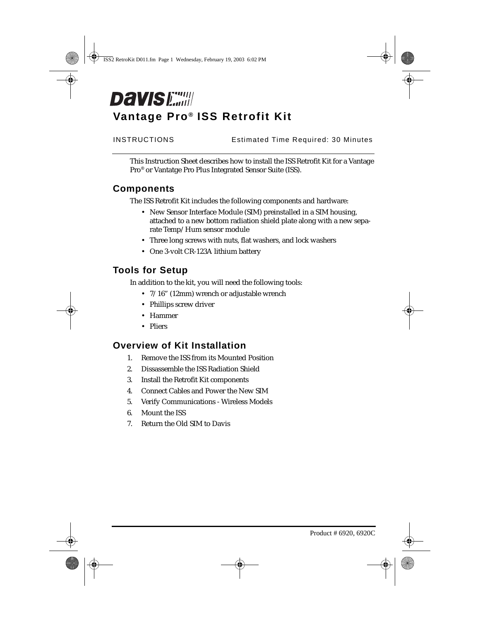# **Davis Early Vantage Pro® ISS Retrofit Kit**

INSTRUCTIONS Estimated Time Required: 30 Minutes

This Instruction Sheet describes how to install the ISS Retrofit Kit for a Vantage Pro® or Vantatge Pro Plus Integrated Sensor Suite (ISS).

### **Components**

The ISS Retrofit Kit includes the following components and hardware:

- New Sensor Interface Module (SIM) preinstalled in a SIM housing, attached to a new bottom radiation shield plate along with a new separate Temp/Hum sensor module
- Three long screws with nuts, flat washers, and lock washers
- One 3-volt CR-123A lithium battery

# **Tools for Setup**

In addition to the kit, you will need the following tools:

- 7/16" (12mm) wrench or adjustable wrench
- Phillips screw driver
- Hammer
- Pliers

### **Overview of Kit Installation**

- 1. Remove the ISS from its Mounted Position
- 2. Dissassemble the ISS Radiation Shield
- 3. Install the Retrofit Kit components
- 4. Connect Cables and Power the New SIM
- 5. Verify Communications Wireless Models
- 6. Mount the ISS
- 7. Return the Old SIM to Davis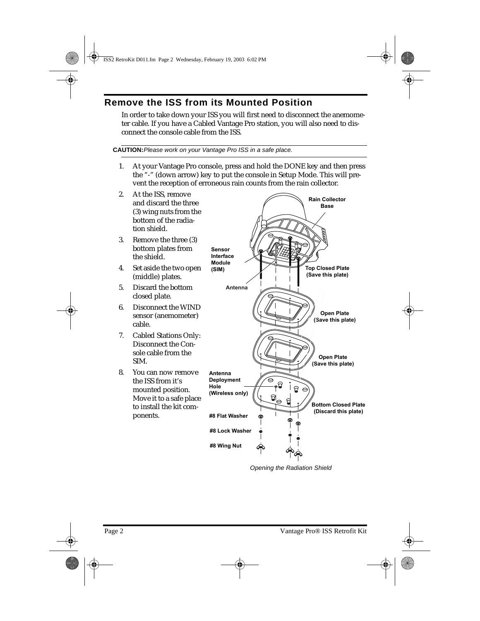# **Remove the ISS from its Mounted Position**

In order to take down your ISS you will first need to disconnect the anemometer cable. If you have a Cabled Vantage Pro station, you will also need to disconnect the console cable from the ISS.

#### **CAUTION:**Please work on your Vantage Pro ISS in a safe place.

- 1. At your Vantage Pro console, press and hold the DONE key and then press the "-" (down arrow) key to put the console in Setup Mode. This will prevent the reception of erroneous rain counts from the rain collector.
- 2. At the ISS, remove and discard the three (3) wing nuts from the bottom of the radiation shield. 3. Remove the three (3) bottom plates from the shield. 4. Set aside the two open (middle) plates. 5. Discard the bottom closed plate. 6. Disconnect the WIND sensor (anemometer) cable. 7. Cabled Stations Only: Disconnect the Console cable from the SIM. 8. You can now remove the ISS from it's mounted position. Move it to a safe place to install the kit components. **Open Plate (Save this plate) Open Plate (Save this plate) Bottom Closed Plate (Discard this plate) #8 Wing Nut #8 Lock Washer #8 Flat Washer Antenna Deployment Hole (Wireless only) Sensor Interface Module (SIM) Rain Collector Base Antenna Top Closed Plate (Save this plate)**

Opening the Radiation Shield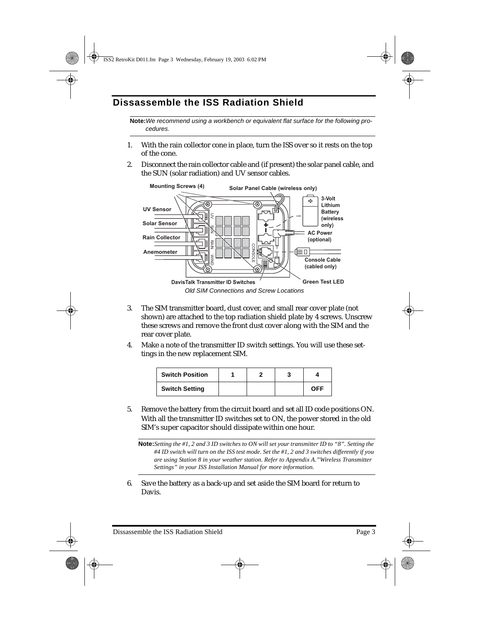# **Dissassemble the ISS Radiation Shield**

**Note:**We recommend using a workbench or equivalent flat surface for the following procedures.

- 1. With the rain collector cone in place, turn the ISS over so it rests on the top of the cone.
- 2. Disconnect the rain collector cable and (if present) the solar panel cable, and the SUN (solar radiation) and UV sensor cables.



- 3. The SIM transmitter board, dust cover, and small rear cover plate (not shown) are attached to the top radiation shield plate by 4 screws. Unscrew these screws and remove the front dust cover along with the SIM and the rear cover plate.
- 4. Make a note of the transmitter ID switch settings. You will use these settings in the new replacement SIM.

| <b>Switch Position</b> |  |            |
|------------------------|--|------------|
| <b>Switch Setting</b>  |  | <b>OFF</b> |

5. Remove the battery from the circuit board and set all ID code positions ON. With all the transmitter ID switches set to ON, the power stored in the old SIM's super capacitor should dissipate within one hour.

**Note:***Setting the #1, 2 and 3 ID switches to ON will set your transmitter ID to "8". Setting the #4 ID switch will turn on the ISS test mode. Set the #1, 2 and 3 switches differently if you are using Station 8 in your weather station. Refer to Appendix A."Wireless Transmitter Settings" in your ISS Installation Manual for more information.*

6. Save the battery as a back-up and set aside the SIM board for return to Davis.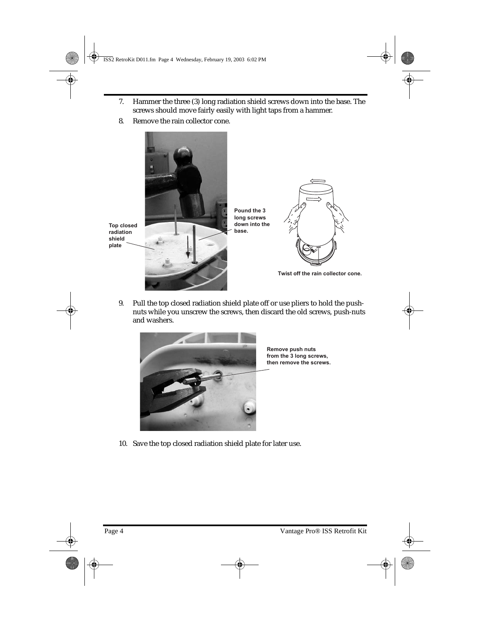- 7. Hammer the three (3) long radiation shield screws down into the base. The screws should move fairly easily with light taps from a hammer.
- 8. Remove the rain collector cone.



9. Pull the top closed radiation shield plate off or use pliers to hold the pushnuts while you unscrew the screws, then discard the old screws, push-nuts and washers.



**Remove push nuts from the 3 long screws, then remove the screws.**

10. Save the top closed radiation shield plate for later use.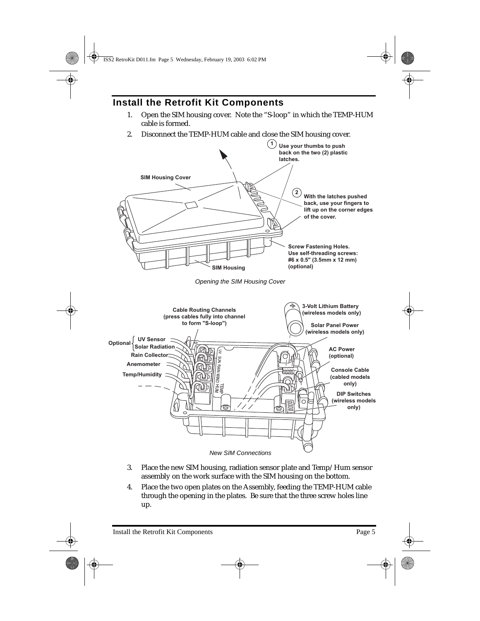# **Install the Retrofit Kit Components**

- 1. Open the SIM housing cover. Note the "S-loop" in which the TEMP-HUM cable is formed.
- 2. Disconnect the TEMP-HUM cable and close the SIM housing cover.



- 3. Place the new SIM housing, radiation sensor plate and Temp/Hum sensor assembly on the work surface with the SIM housing on the bottom.
- 4. Place the two open plates on the Assembly, feeding the TEMP-HUM cable through the opening in the plates. Be sure that the three screw holes line up.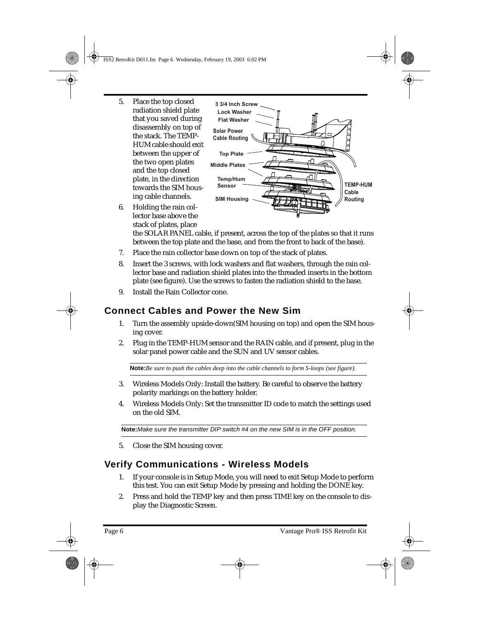- 5. Place the top closed radiation shield plate that you saved during disassembly on top of the stack. The TEMP-HUM cable should exit between the upper of the two open plates and the top closed plate, in the direction towards the SIM housing cable channels.
- 6. Holding the rain collector base above the stack of plates, place



the SOLAR PANEL cable, if present, across the top of the plates so that it runs between the top plate and the base, and from the front to back of the base).

- 7. Place the rain collector base down on top of the stack of plates.
- 8. Insert the 3 screws, with lock washers and flat washers, through the rain collector base and radiation shield plates into the threaded inserts in the bottom plate (see figure). Use the screws to fasten the radiation shield to the base.
- 9. Install the Rain Collector cone.

# **Connect Cables and Power the New Sim**

- 1. Turn the assembly upside-down(SIM housing on top) and open the SIM housing cover.
- 2. Plug in the TEMP-HUM sensor and the RAIN cable, and if present, plug in the solar panel power cable and the SUN and UV sensor cables.

**Note:***Be sure to push the cables deep into the cable channels to form S-loops (see figure).* 

- 3. Wireless Models Only: Install the battery. Be careful to observe the battery polarity markings on the battery holder.
- 4. Wireless Models Only: Set the transmitter ID code to match the settings used on the old SIM.

**Note:**Make sure the transmitter DIP switch #4 on the new SIM is in the OFF position.

5. Close the SIM housing cover.

# **Verify Communications - Wireless Models**

- 1. If your console is in Setup Mode, you will need to exit Setup Mode to perform this test. You can exit Setup Mode by pressing and holding the DONE key.
- 2. Press and hold the TEMP key and then press TIME key on the console to display the Diagnostic Screen.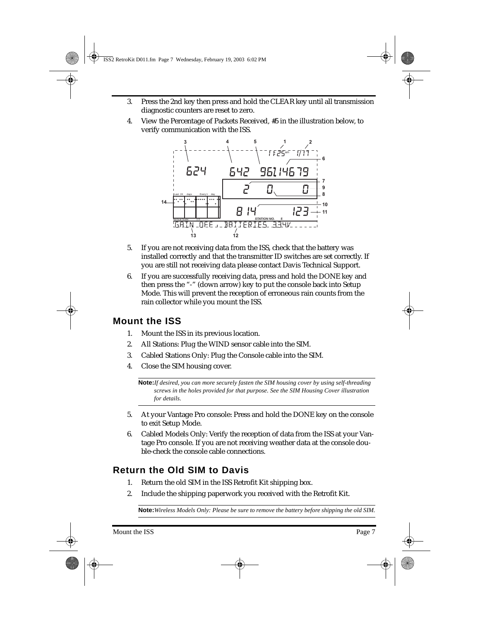- 3. Press the 2nd key then press and hold the CLEAR key until all transmission diagnostic counters are reset to zero.
- 4. View the Percentage of Packets Received, #5 in the illustration below, to verify communication with the ISS.



- 5. If you are not receiving data from the ISS, check that the battery was installed correctly and that the transmitter ID switches are set correctly. If you are still not receiving data please contact Davis Technical Support.
- 6. If you are successfully receiving data, press and hold the DONE key and then press the "-" (down arrow) key to put the console back into Setup Mode. This will prevent the reception of erroneous rain counts from the rain collector while you mount the ISS.

### **Mount the ISS**

- 1. Mount the ISS in its previous location.
- 2. All Stations: Plug the WIND sensor cable into the SIM.
- 3. Cabled Stations Only: Plug the Console cable into the SIM.
- 4. Close the SIM housing cover.

**Note:***If desired, you can more securely fasten the SIM housing cover by using self-threading screws in the holes provided for that purpose. See the SIM Housing Cover illustration for details.*

- 5. At your Vantage Pro console: Press and hold the DONE key on the console to exit Setup Mode.
- 6. Cabled Models Only: Verify the reception of data from the ISS at your Vantage Pro console. If you are not receiving weather data at the console double-check the console cable connections.

# **Return the Old SIM to Davis**

- 1. Return the old SIM in the ISS Retrofit Kit shipping box.
- 2. Include the shipping paperwork you received with the Retrofit Kit.

**Note:***Wireless Models Only: Please be sure to remove the battery before shipping the old SIM.*